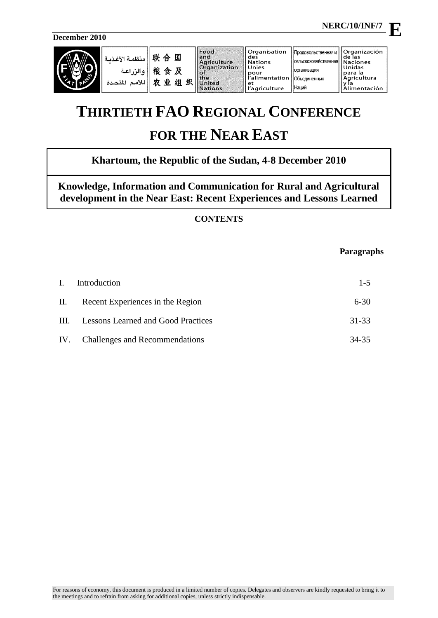**NERC/10/INF/** 

**December 2010**

| æ.<br>$\boldsymbol{\mathcal{L}}$ | . منظمة الأغذمة `<br>ه الي اعة<br>المتحدة | 联<br>国<br>₳<br>粮<br>及<br>食<br>夗<br>٩V<br>组<br>カ | <b>Food</b><br>land<br>Agriculture<br>Organization<br>$\bullet$<br>the<br>Jnited<br><b>Nations</b> | <b>Organisation</b><br>des<br>Nations<br>Unies<br>pour<br>r'alimentation   Объединенных<br>et<br>'agriculture | Продовольственная и<br>,  сельскохозяйственная <br><b>Порганизация</b><br>Наций | Organización<br>de las<br><b>Naciones</b><br>Unidas<br>para la<br>Agricultura<br>`limentación |
|----------------------------------|-------------------------------------------|-------------------------------------------------|----------------------------------------------------------------------------------------------------|---------------------------------------------------------------------------------------------------------------|---------------------------------------------------------------------------------|-----------------------------------------------------------------------------------------------|
|----------------------------------|-------------------------------------------|-------------------------------------------------|----------------------------------------------------------------------------------------------------|---------------------------------------------------------------------------------------------------------------|---------------------------------------------------------------------------------|-----------------------------------------------------------------------------------------------|

# **THIRTIETH FAO REGIONAL CONFERENCE**

# **FOR THE NEAR EAST**

# **Khartoum, the Republic of the Sudan, 4-8 December 2010**

**Knowledge, Information and Communication for Rural and Agricultural development in the Near East: Recent Experiences and Lessons Learned**

## **CONTENTS**

### **Paragraphs**

| L. | Introduction                            | $1 - 5$  |
|----|-----------------------------------------|----------|
|    | II. Recent Experiences in the Region    | $6 - 30$ |
|    | III. Lessons Learned and Good Practices | 31-33    |
|    | IV. Challenges and Recommendations      | 34-35    |

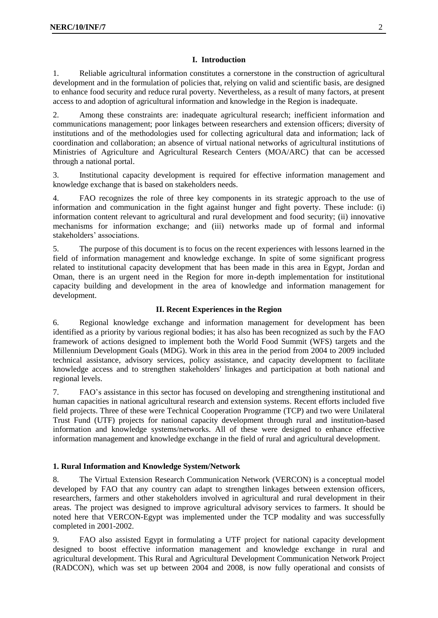#### **I. Introduction**

1. Reliable agricultural information constitutes a cornerstone in the construction of agricultural development and in the formulation of policies that, relying on valid and scientific basis, are designed to enhance food security and reduce rural poverty. Nevertheless, as a result of many factors, at present access to and adoption of agricultural information and knowledge in the Region is inadequate.

2. Among these constraints are: inadequate agricultural research; inefficient information and communications management; poor linkages between researchers and extension officers; diversity of institutions and of the methodologies used for collecting agricultural data and information; lack of coordination and collaboration; an absence of virtual national networks of agricultural institutions of Ministries of Agriculture and Agricultural Research Centers (MOA/ARC) that can be accessed through a national portal.

3. Institutional capacity development is required for effective information management and knowledge exchange that is based on stakeholders needs.

4. FAO recognizes the role of three key components in its strategic approach to the use of information and communication in the fight against hunger and fight poverty. These include: (i) information content relevant to agricultural and rural development and food security; (ii) innovative mechanisms for information exchange; and (iii) networks made up of formal and informal stakeholders' associations.

5. The purpose of this document is to focus on the recent experiences with lessons learned in the field of information management and knowledge exchange. In spite of some significant progress related to institutional capacity development that has been made in this area in Egypt, Jordan and Oman, there is an urgent need in the Region for more in-depth implementation for institutional capacity building and development in the area of knowledge and information management for development.

#### **II. Recent Experiences in the Region**

6. Regional knowledge exchange and information management for development has been identified as a priority by various regional bodies; it has also has been recognized as such by the FAO framework of actions designed to implement both the World Food Summit (WFS) targets and the Millennium Development Goals (MDG). Work in this area in the period from 2004 to 2009 included technical assistance, advisory services, policy assistance, and capacity development to facilitate knowledge access and to strengthen stakeholders' linkages and participation at both national and regional levels.

7. FAO's assistance in this sector has focused on developing and strengthening institutional and human capacities in national agricultural research and extension systems. Recent efforts included five field projects. Three of these were Technical Cooperation Programme (TCP) and two were Unilateral Trust Fund (UTF) projects for national capacity development through rural and institution-based information and knowledge systems/networks. All of these were designed to enhance effective information management and knowledge exchange in the field of rural and agricultural development.

#### **1. Rural Information and Knowledge System/Network**

8. The Virtual Extension Research Communication Network (VERCON) is a conceptual model developed by FAO that any country can adapt to strengthen linkages between extension officers, researchers, farmers and other stakeholders involved in agricultural and rural development in their areas. The project was designed to improve agricultural advisory services to farmers. It should be noted here that VERCON-Egypt was implemented under the TCP modality and was successfully completed in 2001-2002.

9. FAO also assisted Egypt in formulating a UTF project for national capacity development designed to boost effective information management and knowledge exchange in rural and agricultural development. This Rural and Agricultural Development Communication Network Project (RADCON), which was set up between 2004 and 2008, is now fully operational and consists of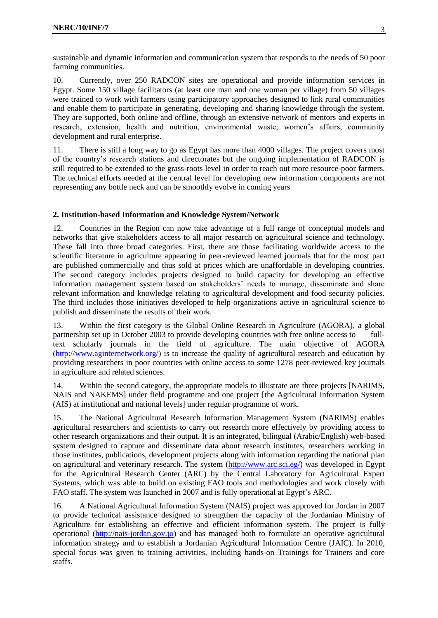sustainable and dynamic information and communication system that responds to the needs of 50 poor farming communities.

10. Currently, over 250 RADCON sites are operational and provide information services in Egypt. Some 150 village facilitators (at least one man and one woman per village) from 50 villages were trained to work with farmers using participatory approaches designed to link rural communities and enable them to participate in generating, developing and sharing knowledge through the system. They are supported, both online and offline, through an extensive network of mentors and experts in research, extension, health and nutrition, environmental waste, women's affairs, community development and rural enterprise.

11. There is still a long way to go as Egypt has more than 4000 villages. The project covers most of the country's research stations and directorates but the ongoing implementation of RADCON is still required to be extended to the grass-roots level in order to reach out more resource-poor farmers. The technical efforts needed at the central level for developing new information components are not representing any bottle neck and can be smoothly evolve in coming years

#### **2. Institution-based Information and Knowledge System/Network**

12. Countries in the Region can now take advantage of a full range of conceptual models and networks that give stakeholders access to all major research on agricultural science and technology. These fall into three broad categories. First, there are those facilitating worldwide access to the scientific literature in agriculture appearing in peer-reviewed learned journals that for the most part are published commercially and thus sold at prices which are unaffordable in developing countries. The second category includes projects designed to build capacity for developing an effective information management system based on stakeholders' needs to manage, disseminate and share relevant information and knowledge relating to agricultural development and food security policies. The third includes those initiatives developed to help organizations active in agricultural science to publish and disseminate the results of their work.

13. Within the first category is the Global Online Research in Agriculture (AGORA), a global partnership set up in October 2003 to provide developing countries with free online access to fulltext scholarly journals in the field of agriculture. The main objective of AGORA [\(http://www.aginternetwork.org/\)](http://www.aginternetwork.org/) is to increase the quality of agricultural research and education by providing researchers in poor countries with online access to some 1278 peer-reviewed key journals in agriculture and related sciences.

14. Within the second category, the appropriate models to illustrate are three projects [NARIMS, NAIS and NAKEMS] under field programme and one project [the Agricultural Information System (AIS) at institutional and national levels] under regular programme of work.

15. The National Agricultural Research Information Management System (NARIMS) enables agricultural researchers and scientists to carry out research more effectively by providing access to other research organizations and their output. It is an integrated, bilingual (Arabic/English) web-based system designed to capture and disseminate data about research institutes, researchers working in those institutes, publications, development projects along with information regarding the national plan on agricultural and veterinary research. The system [\(http://www.arc.sci.eg/\)](http://www.arc.sci.eg/) was developed in Egypt for the Agricultural Research Center (ARC) by the Central Laboratory for Agricultural Expert Systems, which was able to build on existing FAO tools and methodologies and work closely with FAO staff. The system was launched in 2007 and is fully operational at Egypt's ARC.

16. A National Agricultural Information System (NAIS) project was approved for Jordan in 2007 to provide technical assistance designed to strengthen the capacity of the Jordanian Ministry of Agriculture for establishing an effective and efficient information system. The project is fully operational [\(http://nais-jordan.gov.jo\)](http://nais-jordan.gov.jo/) and has managed both to formulate an operative agricultural information strategy and to establish a Jordanian Agricultural Information Centre (JAIC). In 2010, special focus was given to training activities, including hands-on Trainings for Trainers and core staffs.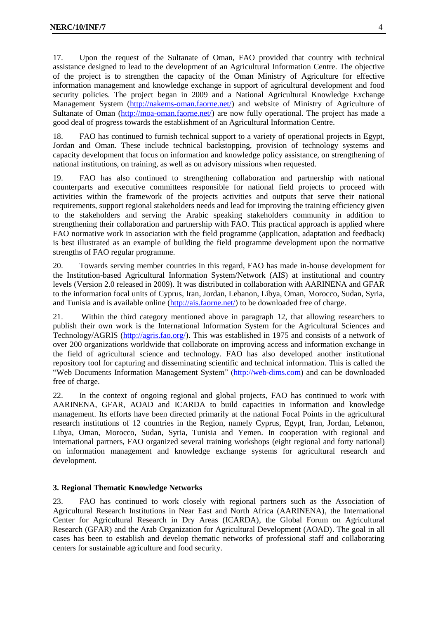17. Upon the request of the Sultanate of Oman, FAO provided that country with technical assistance designed to lead to the development of an Agricultural Information Centre. The objective of the project is to strengthen the capacity of the Oman Ministry of Agriculture for effective information management and knowledge exchange in support of agricultural development and food security policies. The project began in 2009 and a National Agricultural Knowledge Exchange Management System [\(http://nakems-oman.faorne.net/\)](http://nakems-oman.faorne.net/) and website of Ministry of Agriculture of Sultanate of Oman [\(http://moa-oman.faorne.net/\)](http://moa-oman.faorne.net/) are now fully operational. The project has made a good deal of progress towards the establishment of an Agricultural Information Centre.

18. FAO has continued to furnish technical support to a variety of operational projects in Egypt, Jordan and Oman. These include technical backstopping, provision of technology systems and capacity development that focus on information and knowledge policy assistance, on strengthening of national institutions, on training, as well as on advisory missions when requested.

19. FAO has also continued to strengthening collaboration and partnership with national counterparts and executive committees responsible for national field projects to proceed with activities within the framework of the projects activities and outputs that serve their national requirements, support regional stakeholders needs and lead for improving the training efficiency given to the stakeholders and serving the Arabic speaking stakeholders community in addition to strengthening their collaboration and partnership with FAO. This practical approach is applied where FAO normative work in association with the field programme (application, adaptation and feedback) is best illustrated as an example of building the field programme development upon the normative strengths of FAO regular programme.

20. Towards serving member countries in this regard, FAO has made in-house development for the Institution-based Agricultural Information System/Network (AIS) at institutional and country levels (Version 2.0 released in 2009). It was distributed in collaboration with AARINENA and GFAR to the information focal units of Cyprus, Iran, Jordan, Lebanon, Libya, Oman, Morocco, Sudan, Syria, and Tunisia and is available online [\(http://ais.faorne.net/\)](http://ais.faorne.net/) to be downloaded free of charge.

21. Within the third category mentioned above in paragraph 12, that allowing researchers to publish their own work is the International Information System for the Agricultural Sciences and Technology/AGRIS [\(http://agris.fao.org/\)](http://agris.fao.org/). This was established in 1975 and consists of a network of over 200 organizations worldwide that collaborate on improving access and information exchange in the field of agricultural science and technology. FAO has also developed another institutional repository tool for capturing and disseminating scientific and technical information. This is called the "Web Documents Information Management System" [\(http://web-dims.com\)](http://web-dims.com/) and can be downloaded free of charge.

22. In the context of ongoing regional and global projects, FAO has continued to work with AARINENA, GFAR, AOAD and ICARDA to build capacities in information and knowledge management. Its efforts have been directed primarily at the national Focal Points in the agricultural research institutions of 12 countries in the Region, namely Cyprus, Egypt, Iran, Jordan, Lebanon, Libya, Oman, Morocco, Sudan, Syria, Tunisia and Yemen. In cooperation with regional and international partners, FAO organized several training workshops (eight regional and forty national) on information management and knowledge exchange systems for agricultural research and development.

#### **3. Regional Thematic Knowledge Networks**

23. FAO has continued to work closely with regional partners such as the Association of Agricultural Research Institutions in Near East and North Africa (AARINENA), the International Center for Agricultural Research in Dry Areas (ICARDA), the Global Forum on Agricultural Research (GFAR) and the Arab Organization for Agricultural Development (AOAD). The goal in all cases has been to establish and develop thematic networks of professional staff and collaborating centers for sustainable agriculture and food security.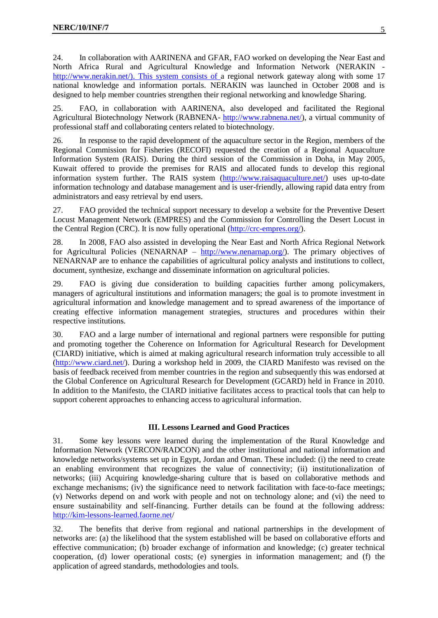24. In collaboration with AARINENA and GFAR, FAO worked on developing the Near East and North Africa Rural and Agricultural Knowledge and Information Network (NERAKIN [http://www.nerakin.net/\). This system consists of a](http://www.nerakin.net/).%20This%20system%20consists%20of) regional network gateway along with some 17 national knowledge and information portals. NERAKIN was launched in October 2008 and is designed to help member countries strengthen their regional networking and knowledge Sharing.

25. FAO, in collaboration with AARINENA, also developed and facilitated the Regional Agricultural Biotechnology Network (RABNENA- [http://www.rabnena.net/\)](http://www.rabnena.net/), a virtual community of professional staff and collaborating centers related to biotechnology.

26. In response to the rapid development of the aquaculture sector in the Region, members of the Regional Commission for Fisheries (RECOFI) requested the creation of a Regional Aquaculture Information System (RAIS). During the third session of the Commission in Doha, in May 2005, Kuwait offered to provide the premises for RAIS and allocated funds to develop this regional information system further. The RAIS system [\(http://www.raisaquaculture.net/\)](http://www.raisaquaculture.net/) uses up-to-date information technology and database management and is user-friendly, allowing rapid data entry from administrators and easy retrieval by end users.

27. FAO provided the technical support necessary to develop a website for the Preventive Desert Locust Management Network (EMPRES) and the Commission for Controlling the Desert Locust in the Central Region (CRC). It is now fully operational [\(http://crc-empres.org/\)](http://crc-empres.org/).

28. In 2008, FAO also assisted in developing the Near East and North Africa Regional Network for Agricultural Policies (NENARNAP –  $\frac{http://www.nenarnap.org/}{http://www.nenarnap.org/})$ . The primary objectives of NENARNAP are to enhance the capabilities of agricultural policy analysts and institutions to collect, document, synthesize, exchange and disseminate information on agricultural policies.

29. FAO is giving due consideration to building capacities further among policymakers, managers of agricultural institutions and information managers; the goal is to promote investment in agricultural information and knowledge management and to spread awareness of the importance of creating effective information management strategies, structures and procedures within their respective institutions.

30. FAO and a large number of international and regional partners were responsible for putting and promoting together the Coherence on Information for Agricultural Research for Development (CIARD) initiative, which is aimed at making agricultural research information truly accessible to all [\(http://www.ciard.net/\)](http://www.ciard.net/). During a workshop held in 2009, the CIARD Manifesto was revised on the basis of feedback received from member countries in the region and subsequently this was endorsed at the Global Conference on Agricultural Research for Development (GCARD) held in France in 2010. In addition to the Manifesto, the CIARD initiative facilitates access to practical tools that can help to support coherent approaches to enhancing access to agricultural information.

#### **III. Lessons Learned and Good Practices**

31. Some key lessons were learned during the implementation of the Rural Knowledge and Information Network (VERCON/RADCON) and the other institutional and national information and knowledge networks/systems set up in Egypt, Jordan and Oman. These included: (i) the need to create an enabling environment that recognizes the value of connectivity; (ii) institutionalization of networks; (iii) Acquiring knowledge-sharing culture that is based on collaborative methods and exchange mechanisms; (iv) the significance need to network facilitation with face-to-face meetings; (v) Networks depend on and work with people and not on technology alone; and (vi) the need to ensure sustainability and self-financing. Further details can be found at the following address: <http://kim-lessons-learned.faorne.net/>

32. The benefits that derive from regional and national partnerships in the development of networks are: (a) the likelihood that the system established will be based on collaborative efforts and effective communication; (b) broader exchange of information and knowledge; (c) greater technical cooperation, (d) lower operational costs; (e) synergies in information management; and (f) the application of agreed standards, methodologies and tools.